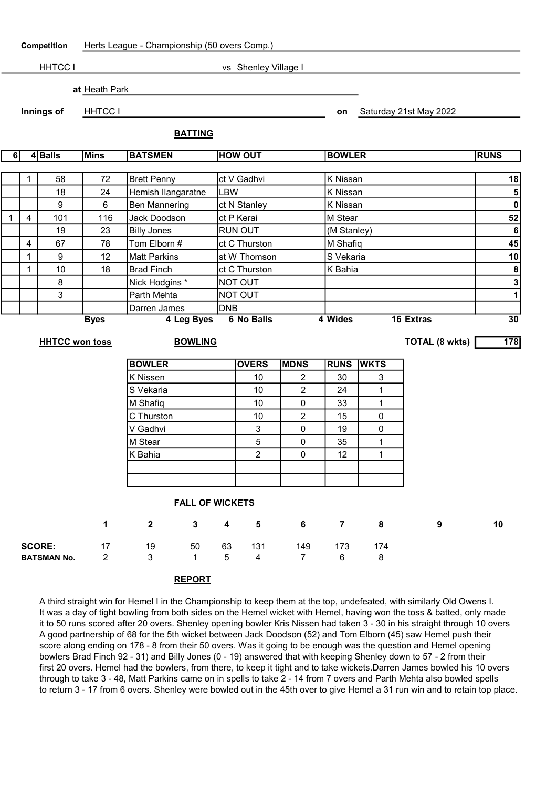| Competition                                 |                         | Herts League - Championship (50 overs Comp.) |                            |                                            |                       |                       |                       |                        |                       |                  |                         |  |  |
|---------------------------------------------|-------------------------|----------------------------------------------|----------------------------|--------------------------------------------|-----------------------|-----------------------|-----------------------|------------------------|-----------------------|------------------|-------------------------|--|--|
|                                             |                         | <b>HHTCC I</b>                               | vs Shenley Village I       |                                            |                       |                       |                       |                        |                       |                  |                         |  |  |
|                                             | at Heath Park           |                                              |                            |                                            |                       |                       |                       |                        |                       |                  |                         |  |  |
| Innings of                                  |                         | <b>HHTCC I</b><br><b>BATTING</b>             |                            |                                            |                       |                       |                       | Saturday 21st May 2022 |                       |                  |                         |  |  |
|                                             |                         |                                              |                            |                                            |                       |                       |                       |                        |                       |                  |                         |  |  |
| $4 $ Balls<br><b>Mins</b><br>6 <sup>1</sup> |                         |                                              |                            | <b>BATSMEN</b>                             |                       | <b>HOW OUT</b>        |                       |                        | <b>BOWLER</b>         |                  |                         |  |  |
|                                             |                         |                                              |                            |                                            |                       |                       |                       |                        |                       |                  | 18                      |  |  |
|                                             | $\mathbf{1}$            | 58                                           | 72                         | <b>Brett Penny</b>                         |                       | ct V Gadhvi           |                       |                        | K Nissan              |                  |                         |  |  |
|                                             |                         | 18                                           | 24                         | Hemish llangaratne                         | <b>LBW</b>            |                       |                       |                        | K Nissan              |                  |                         |  |  |
|                                             |                         | $\boldsymbol{9}$                             | 6                          | <b>Ben Mannering</b>                       |                       | ct N Stanley          |                       |                        | K Nissan              |                  |                         |  |  |
| $\mathbf{1}$                                | $\overline{\mathbf{4}}$ | 101                                          | 116                        | Jack Doodson                               |                       | M Stear<br>ct P Kerai |                       |                        |                       |                  | 52                      |  |  |
|                                             |                         | <b>Billy Jones</b><br>RUN OUT<br>19<br>23    |                            |                                            |                       |                       |                       | (M Stanley)            | $\bf 6$<br>45         |                  |                         |  |  |
|                                             | 4                       | 67                                           | 78                         | Tom Elborn #                               |                       | ct C Thurston         |                       |                        | M Shafiq              |                  |                         |  |  |
|                                             | 1                       | $\boldsymbol{9}$                             | 12                         | <b>Matt Parkins</b>                        |                       | st W Thomson          |                       |                        | S Vekaria             |                  |                         |  |  |
|                                             | 1                       | 10                                           | 18                         | <b>Brad Finch</b>                          |                       | ct C Thurston         |                       |                        | K Bahia               | 8                |                         |  |  |
|                                             |                         | 8                                            |                            | Nick Hodgins *                             |                       | NOT OUT               |                       |                        |                       |                  | $\overline{\mathbf{3}}$ |  |  |
|                                             |                         | 3                                            |                            | Parth Mehta                                |                       | NOT OUT               |                       |                        |                       |                  | $\overline{1}$          |  |  |
|                                             |                         |                                              | Darren James<br><b>DNB</b> |                                            |                       |                       |                       |                        |                       |                  |                         |  |  |
|                                             |                         |                                              | <b>Byes</b>                | 4 Leg Byes                                 |                       | <b>6 No Balls</b>     |                       | 4 Wides                |                       | <b>16 Extras</b> | 30                      |  |  |
|                                             |                         | <b>HHTCC won toss</b>                        |                            | <b>BOWLING</b>                             |                       |                       |                       |                        | <b>TOTAL (8 wkts)</b> |                  |                         |  |  |
|                                             |                         |                                              |                            | <b>BOWLER</b>                              |                       | <b>OVERS</b>          | <b>MDNS</b>           | <b>RUNS</b>            | <b>WKTS</b>           |                  |                         |  |  |
|                                             |                         |                                              |                            | <b>K</b> Nissen                            |                       | 10                    | 2                     | 30                     | 3                     |                  |                         |  |  |
|                                             |                         |                                              |                            | S Vekaria                                  |                       | 10                    | $\overline{c}$        | 24                     | 1                     |                  |                         |  |  |
|                                             |                         |                                              |                            | M Shafiq                                   |                       | 10                    | 0                     | 33                     | 1                     |                  |                         |  |  |
|                                             |                         |                                              |                            | C Thurston                                 |                       | 10                    | $\overline{c}$        | 15                     | 0                     |                  |                         |  |  |
|                                             |                         |                                              |                            | V Gadhvi                                   |                       | 3                     | 0                     | 19                     | 0                     |                  |                         |  |  |
|                                             |                         |                                              |                            | M Stear                                    |                       | 5                     | 0                     | 35                     | 1                     |                  |                         |  |  |
|                                             |                         |                                              |                            | K Bahia                                    |                       | 2                     | 0                     | 12                     | $\mathbf{1}$          |                  |                         |  |  |
|                                             |                         |                                              |                            |                                            |                       |                       |                       |                        |                       |                  |                         |  |  |
|                                             |                         |                                              |                            |                                            |                       |                       |                       |                        |                       |                  |                         |  |  |
|                                             |                         |                                              |                            | <b>FALL OF WICKETS</b>                     |                       |                       |                       |                        |                       |                  |                         |  |  |
|                                             |                         |                                              | 1                          | $\overline{2}$<br>$\mathbf{3}$             | 4                     | $5\phantom{.0}$       | 6                     | $\overline{7}$         | 8                     | 9                | 10                      |  |  |
| <b>SCORE:</b><br><b>BATSMAN No.</b>         |                         |                                              | 17<br>$\overline{2}$       | 50<br>19<br>3 <sup>1</sup><br>$\mathbf{1}$ | 63<br>$5\phantom{.0}$ | 131<br>$\overline{4}$ | 149<br>7 <sup>7</sup> | 173<br>6               | 174<br>8              |                  |                         |  |  |

## REPORT

 $\overline{\mathsf{L}}$ 

A third straight win for Hemel I in the Championship to keep them at the top, undefeated, with similarly Old Owens I. It was a day of tight bowling from both sides on the Hemel wicket with Hemel, having won the toss & batted, only made it to 50 runs scored after 20 overs. Shenley opening bowler Kris Nissen had taken 3 - 30 in his straight through 10 overs A good partnership of 68 for the 5th wicket between Jack Doodson (52) and Tom Elborn (45) saw Hemel push their score along ending on 178 - 8 from their 50 overs. Was it going to be enough was the question and Hemel opening bowlers Brad Finch 92 - 31) and Billy Jones (0 - 19) answered that with keeping Shenley down to 57 - 2 from their first 20 overs. Hemel had the bowlers, from there, to keep it tight and to take wickets.Darren James bowled his 10 overs through to take 3 - 48, Matt Parkins came on in spells to take 2 - 14 from 7 overs and Parth Mehta also bowled spells to return 3 - 17 from 6 overs. Shenley were bowled out in the 45th over to give Hemel a 31 run win and to retain top place.